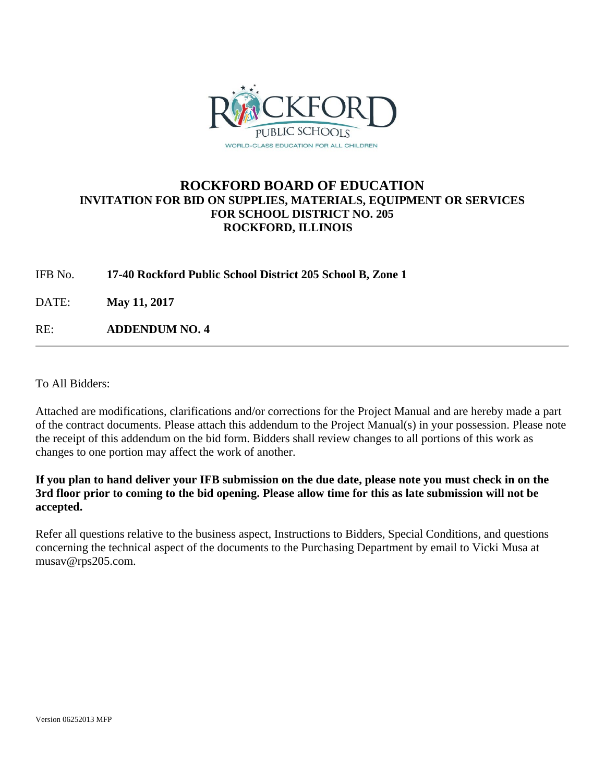

### **ROCKFORD BOARD OF EDUCATION INVITATION FOR BID ON SUPPLIES, MATERIALS, EQUIPMENT OR SERVICES FOR SCHOOL DISTRICT NO. 205 ROCKFORD, ILLINOIS**

IFB No. **17-40 Rockford Public School District 205 School B, Zone 1**

DATE: **May 11, 2017**

RE: **ADDENDUM NO. 4**

To All Bidders:

Attached are modifications, clarifications and/or corrections for the Project Manual and are hereby made a part of the contract documents. Please attach this addendum to the Project Manual(s) in your possession. Please note the receipt of this addendum on the bid form. Bidders shall review changes to all portions of this work as changes to one portion may affect the work of another.

**If you plan to hand deliver your IFB submission on the due date, please note you must check in on the 3rd floor prior to coming to the bid opening. Please allow time for this as late submission will not be accepted.** 

Refer all questions relative to the business aspect, Instructions to Bidders, Special Conditions, and questions concerning the technical aspect of the documents to the Purchasing Department by email to Vicki Musa at musav@rps205.com.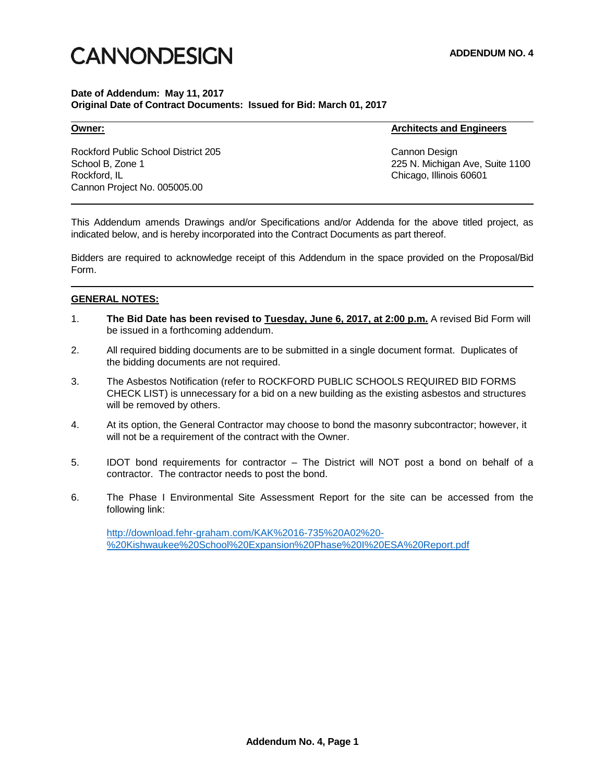# **CANNONDESIGN**

### **Date of Addendum: May 11, 2017 Original Date of Contract Documents: Issued for Bid: March 01, 2017**

**Owner: Architects and Engineers**

Rockford Public School District 205 Cannon Design School B, Zone 1 225 N. Michigan Ave, Suite 1100 Rockford, IL Chicago, Illinois 60601 Cannon Project No. 005005.00

This Addendum amends Drawings and/or Specifications and/or Addenda for the above titled project, as indicated below, and is hereby incorporated into the Contract Documents as part thereof.

Bidders are required to acknowledge receipt of this Addendum in the space provided on the Proposal/Bid Form.

### **GENERAL NOTES:**

- 1. **The Bid Date has been revised to Tuesday, June 6, 2017, at 2:00 p.m.** A revised Bid Form will be issued in a forthcoming addendum.
- 2. All required bidding documents are to be submitted in a single document format. Duplicates of the bidding documents are not required.
- 3. The Asbestos Notification (refer to ROCKFORD PUBLIC SCHOOLS REQUIRED BID FORMS CHECK LIST) is unnecessary for a bid on a new building as the existing asbestos and structures will be removed by others.
- 4. At its option, the General Contractor may choose to bond the masonry subcontractor; however, it will not be a requirement of the contract with the Owner.
- 5. IDOT bond requirements for contractor The District will NOT post a bond on behalf of a contractor. The contractor needs to post the bond.
- 6. The Phase I Environmental Site Assessment Report for the site can be accessed from the following link:

[http://download.fehr-graham.com/KAK%2016-735%20A02%20-](http://download.fehr-graham.com/KAK%2016-735%20A02%20-%20Kishwaukee%20School%20Expansion%20Phase%20I%20ESA%20Report.pdf) [%20Kishwaukee%20School%20Expansion%20Phase%20I%20ESA%20Report.pdf](http://download.fehr-graham.com/KAK%2016-735%20A02%20-%20Kishwaukee%20School%20Expansion%20Phase%20I%20ESA%20Report.pdf)